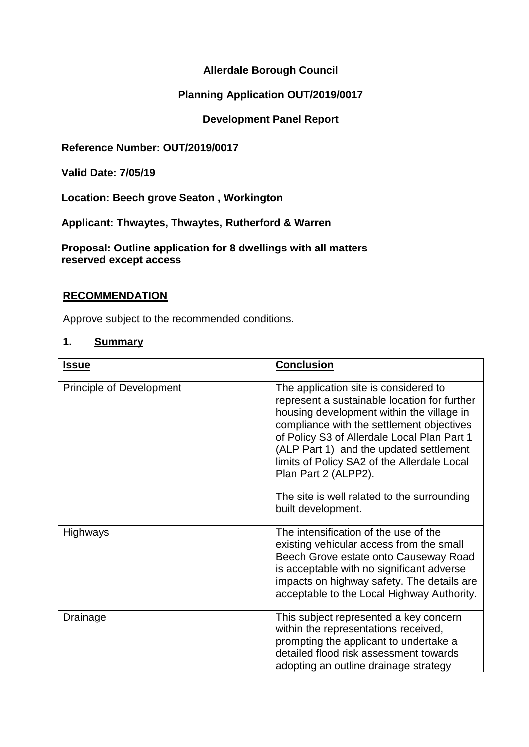## **Allerdale Borough Council**

## **Planning Application OUT/2019/0017**

### **Development Panel Report**

**Reference Number: OUT/2019/0017**

**Valid Date: 7/05/19**

**Location: Beech grove Seaton , Workington**

**Applicant: Thwaytes, Thwaytes, Rutherford & Warren**

**Proposal: Outline application for 8 dwellings with all matters reserved except access**

### **RECOMMENDATION**

Approve subject to the recommended conditions.

#### **1. Summary**

| <b>Issue</b>                    | <b>Conclusion</b>                                                                                                                                                                                                                                                                                                                                                                                                     |
|---------------------------------|-----------------------------------------------------------------------------------------------------------------------------------------------------------------------------------------------------------------------------------------------------------------------------------------------------------------------------------------------------------------------------------------------------------------------|
| <b>Principle of Development</b> | The application site is considered to<br>represent a sustainable location for further<br>housing development within the village in<br>compliance with the settlement objectives<br>of Policy S3 of Allerdale Local Plan Part 1<br>(ALP Part 1) and the updated settlement<br>limits of Policy SA2 of the Allerdale Local<br>Plan Part 2 (ALPP2).<br>The site is well related to the surrounding<br>built development. |
| <b>Highways</b>                 | The intensification of the use of the<br>existing vehicular access from the small<br>Beech Grove estate onto Causeway Road<br>is acceptable with no significant adverse<br>impacts on highway safety. The details are<br>acceptable to the Local Highway Authority.                                                                                                                                                   |
| Drainage                        | This subject represented a key concern<br>within the representations received,<br>prompting the applicant to undertake a<br>detailed flood risk assessment towards<br>adopting an outline drainage strategy                                                                                                                                                                                                           |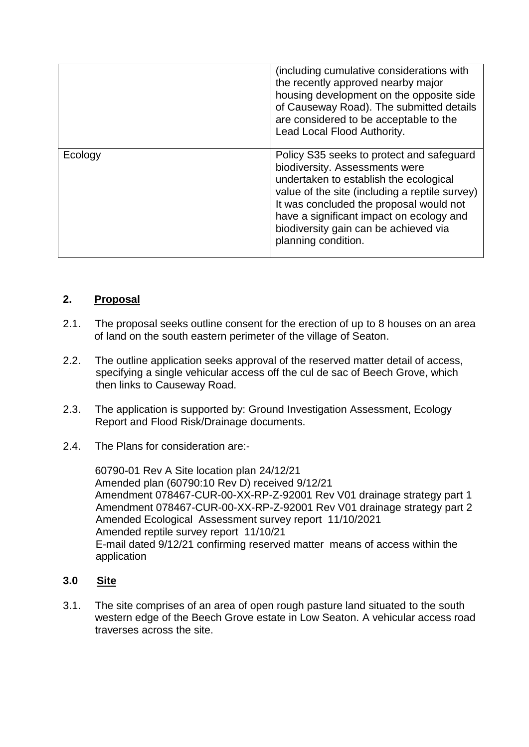|         | (including cumulative considerations with<br>the recently approved nearby major<br>housing development on the opposite side<br>of Causeway Road). The submitted details<br>are considered to be acceptable to the<br>Lead Local Flood Authority.                                                                               |
|---------|--------------------------------------------------------------------------------------------------------------------------------------------------------------------------------------------------------------------------------------------------------------------------------------------------------------------------------|
| Ecology | Policy S35 seeks to protect and safeguard<br>biodiversity. Assessments were<br>undertaken to establish the ecological<br>value of the site (including a reptile survey)<br>It was concluded the proposal would not<br>have a significant impact on ecology and<br>biodiversity gain can be achieved via<br>planning condition. |

## **2. Proposal**

- 2.1. The proposal seeks outline consent for the erection of up to 8 houses on an area of land on the south eastern perimeter of the village of Seaton.
- 2.2. The outline application seeks approval of the reserved matter detail of access, specifying a single vehicular access off the cul de sac of Beech Grove, which then links to Causeway Road.
- 2.3. The application is supported by: Ground Investigation Assessment, Ecology Report and Flood Risk/Drainage documents.
- 2.4. The Plans for consideration are:-

60790-01 Rev A Site location plan 24/12/21 Amended plan (60790:10 Rev D) received 9/12/21 Amendment 078467-CUR-00-XX-RP-Z-92001 Rev V01 drainage strategy part 1 Amendment 078467-CUR-00-XX-RP-Z-92001 Rev V01 drainage strategy part 2 Amended Ecological Assessment survey report 11/10/2021 Amended reptile survey report 11/10/21 E-mail dated 9/12/21 confirming reserved matter means of access within the application

#### **3.0 Site**

3.1. The site comprises of an area of open rough pasture land situated to the south western edge of the Beech Grove estate in Low Seaton. A vehicular access road traverses across the site.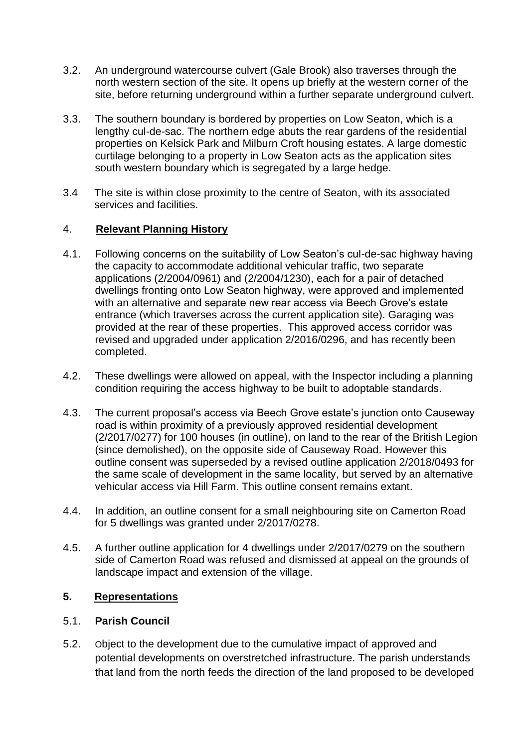- 3.2. An underground watercourse culvert (Gale Brook) also traverses through the north western section of the site. It opens up briefly at the western corner of the site, before returning underground within a further separate underground culvert.
- 3.3. The southern boundary is bordered by properties on Low Seaton, which is a lengthy cul-de-sac. The northern edge abuts the rear gardens of the residential properties on Kelsick Park and Milburn Croft housing estates. A large domestic curtilage belonging to a property in Low Seaton acts as the application sites south western boundary which is segregated by a large hedge.
- 3.4 The site is within close proximity to the centre of Seaton, with its associated services and facilities.

## 4. **Relevant Planning History**

- 4.1. Following concerns on the suitability of Low Seaton's cul-de-sac highway having the capacity to accommodate additional vehicular traffic, two separate applications (2/2004/0961) and (2/2004/1230), each for a pair of detached dwellings fronting onto Low Seaton highway, were approved and implemented with an alternative and separate new rear access via Beech Grove's estate entrance (which traverses across the current application site). Garaging was provided at the rear of these properties. This approved access corridor was revised and upgraded under application 2/2016/0296, and has recently been completed.
- 4.2. These dwellings were allowed on appeal, with the Inspector including a planning condition requiring the access highway to be built to adoptable standards.
- 4.3. The current proposal's access via Beech Grove estate's junction onto Causeway road is within proximity of a previously approved residential development (2/2017/0277) for 100 houses (in outline), on land to the rear of the British Legion (since demolished), on the opposite side of Causeway Road. However this outline consent was superseded by a revised outline application 2/2018/0493 for the same scale of development in the same locality, but served by an alternative vehicular access via Hill Farm. This outline consent remains extant.
- 4.4. In addition, an outline consent for a small neighbouring site on Camerton Road for 5 dwellings was granted under 2/2017/0278.
- 4.5. A further outline application for 4 dwellings under 2/2017/0279 on the southern side of Camerton Road was refused and dismissed at appeal on the grounds of landscape impact and extension of the village.

## **5. Representations**

#### 5.1. **Parish Council**

5.2. Object to the development due to the cumulative impact of approved and potential developments on overstretched infrastructure. The parish understands that land from the north feeds the direction of the land proposed to be developed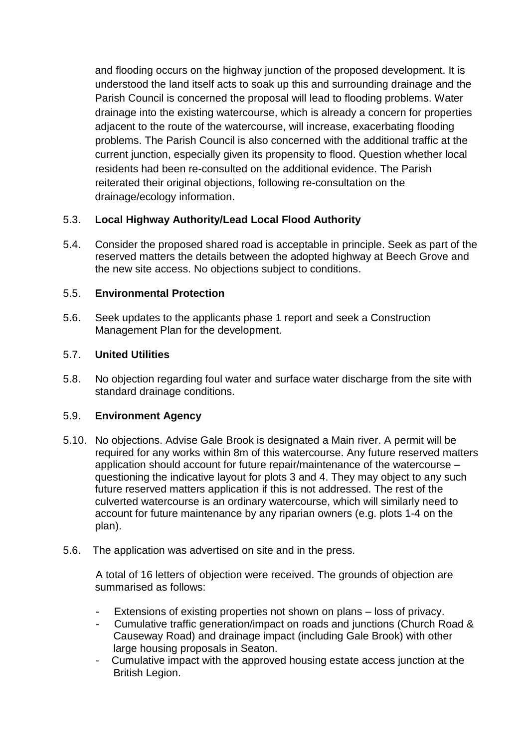and flooding occurs on the highway junction of the proposed development. It is understood the land itself acts to soak up this and surrounding drainage and the Parish Council is concerned the proposal will lead to flooding problems. Water drainage into the existing watercourse, which is already a concern for properties adjacent to the route of the watercourse, will increase, exacerbating flooding problems. The Parish Council is also concerned with the additional traffic at the current junction, especially given its propensity to flood. Question whether local residents had been re-consulted on the additional evidence. The Parish reiterated their original objections, following re-consultation on the drainage/ecology information.

# 5.3. **Local Highway Authority/Lead Local Flood Authority**

5.4. Consider the proposed shared road is acceptable in principle. Seek as part of the reserved matters the details between the adopted highway at Beech Grove and the new site access. No objections subject to conditions.

# 5.5. **Environmental Protection**

5.6. Seek updates to the applicants phase 1 report and seek a Construction Management Plan for the development.

# 5.7. **United Utilities**

5.8. No objection regarding foul water and surface water discharge from the site with standard drainage conditions.

# 5.9. **Environment Agency**

- 5.10. No objections. Advise Gale Brook is designated a Main river. A permit will be required for any works within 8m of this watercourse. Any future reserved matters application should account for future repair/maintenance of the watercourse – questioning the indicative layout for plots 3 and 4. They may object to any such future reserved matters application if this is not addressed. The rest of the culverted watercourse is an ordinary watercourse, which will similarly need to account for future maintenance by any riparian owners (e.g. plots 1-4 on the plan).
- 5.6. The application was advertised on site and in the press.

A total of 16 letters of objection were received. The grounds of objection are summarised as follows:

- Extensions of existing properties not shown on plans loss of privacy.
- Cumulative traffic generation/impact on roads and junctions (Church Road & Causeway Road) and drainage impact (including Gale Brook) with other large housing proposals in Seaton.
- Cumulative impact with the approved housing estate access junction at the British Legion.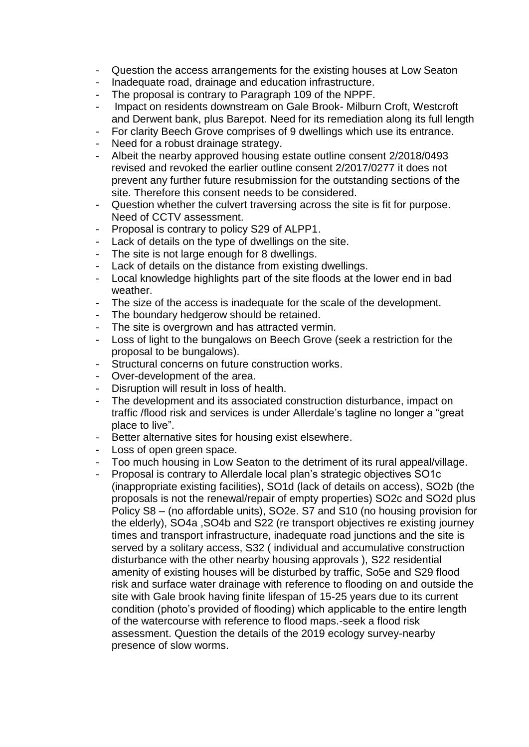- Question the access arrangements for the existing houses at Low Seaton
- Inadequate road, drainage and education infrastructure.
- The proposal is contrary to Paragraph 109 of the NPPF.
- Impact on residents downstream on Gale Brook- Milburn Croft, Westcroft and Derwent bank, plus Barepot. Need for its remediation along its full length
- For clarity Beech Grove comprises of 9 dwellings which use its entrance.
- Need for a robust drainage strategy.
- Albeit the nearby approved housing estate outline consent 2/2018/0493 revised and revoked the earlier outline consent 2/2017/0277 it does not prevent any further future resubmission for the outstanding sections of the site. Therefore this consent needs to be considered.
- Question whether the culvert traversing across the site is fit for purpose. Need of CCTV assessment.
- Proposal is contrary to policy S29 of ALPP1.
- Lack of details on the type of dwellings on the site.
- The site is not large enough for 8 dwellings.
- Lack of details on the distance from existing dwellings.
- Local knowledge highlights part of the site floods at the lower end in bad weather.
- The size of the access is inadequate for the scale of the development.
- The boundary hedgerow should be retained.
- The site is overgrown and has attracted vermin.
- Loss of light to the bungalows on Beech Grove (seek a restriction for the proposal to be bungalows).
- Structural concerns on future construction works.
- Over-development of the area.
- Disruption will result in loss of health.
- The development and its associated construction disturbance, impact on traffic /flood risk and services is under Allerdale's tagline no longer a "great place to live".
- Better alternative sites for housing exist elsewhere.
- Loss of open green space.
- Too much housing in Low Seaton to the detriment of its rural appeal/village.
- Proposal is contrary to Allerdale local plan's strategic objectives SO1c (inappropriate existing facilities), SO1d (lack of details on access), SO2b (the proposals is not the renewal/repair of empty properties) SO2c and SO2d plus Policy S8 – (no affordable units), SO2e. S7 and S10 (no housing provision for the elderly), SO4a ,SO4b and S22 (re transport objectives re existing journey times and transport infrastructure, inadequate road junctions and the site is served by a solitary access, S32 ( individual and accumulative construction disturbance with the other nearby housing approvals ), S22 residential amenity of existing houses will be disturbed by traffic, So5e and S29 flood risk and surface water drainage with reference to flooding on and outside the site with Gale brook having finite lifespan of 15-25 years due to its current condition (photo's provided of flooding) which applicable to the entire length of the watercourse with reference to flood maps.-seek a flood risk assessment. Question the details of the 2019 ecology survey-nearby presence of slow worms.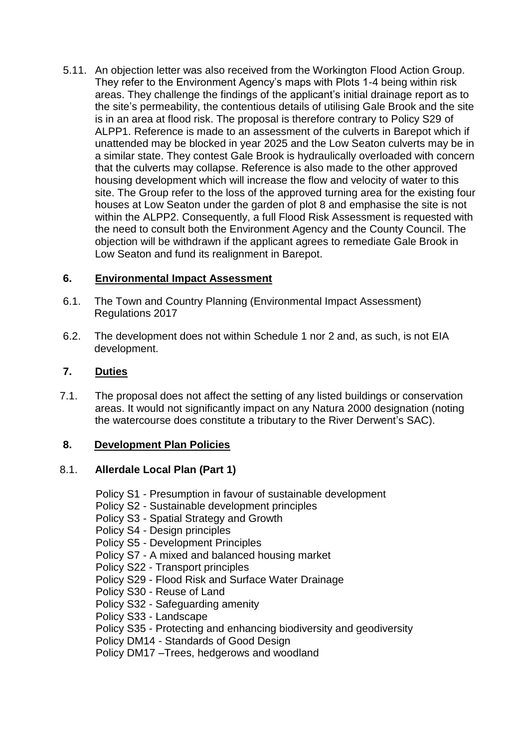5.11. An objection letter was also received from the Workington Flood Action Group. They refer to the Environment Agency's maps with Plots 1-4 being within risk areas. They challenge the findings of the applicant's initial drainage report as to the site's permeability, the contentious details of utilising Gale Brook and the site is in an area at flood risk. The proposal is therefore contrary to Policy S29 of ALPP1. Reference is made to an assessment of the culverts in Barepot which if unattended may be blocked in year 2025 and the Low Seaton culverts may be in a similar state. They contest Gale Brook is hydraulically overloaded with concern that the culverts may collapse. Reference is also made to the other approved housing development which will increase the flow and velocity of water to this site. The Group refer to the loss of the approved turning area for the existing four houses at Low Seaton under the garden of plot 8 and emphasise the site is not within the ALPP2. Consequently, a full Flood Risk Assessment is requested with the need to consult both the Environment Agency and the County Council. The objection will be withdrawn if the applicant agrees to remediate Gale Brook in Low Seaton and fund its realignment in Barepot.

## **6. Environmental Impact Assessment**

- 6.1. The Town and Country Planning (Environmental Impact Assessment) Regulations 2017
- 6.2. The development does not within Schedule 1 nor 2 and, as such, is not EIA development.

# **7. Duties**

7.1. The proposal does not affect the setting of any listed buildings or conservation areas. It would not significantly impact on any Natura 2000 designation (noting the watercourse does constitute a tributary to the River Derwent's SAC).

## **8. Development Plan Policies**

## 8.1. **Allerdale Local Plan (Part 1)**

- Policy S1 Presumption in favour of sustainable development
- Policy S2 Sustainable development principles
- Policy S3 Spatial Strategy and Growth
- Policy S4 Design principles
- Policy S5 Development Principles
- Policy S7 A mixed and balanced housing market
- Policy S22 Transport principles
- Policy S29 Flood Risk and Surface Water Drainage
- Policy S30 Reuse of Land
- Policy S32 Safeguarding amenity
- Policy S33 Landscape
- Policy S35 Protecting and enhancing biodiversity and geodiversity
- Policy DM14 Standards of Good Design
- Policy DM17 –Trees, hedgerows and woodland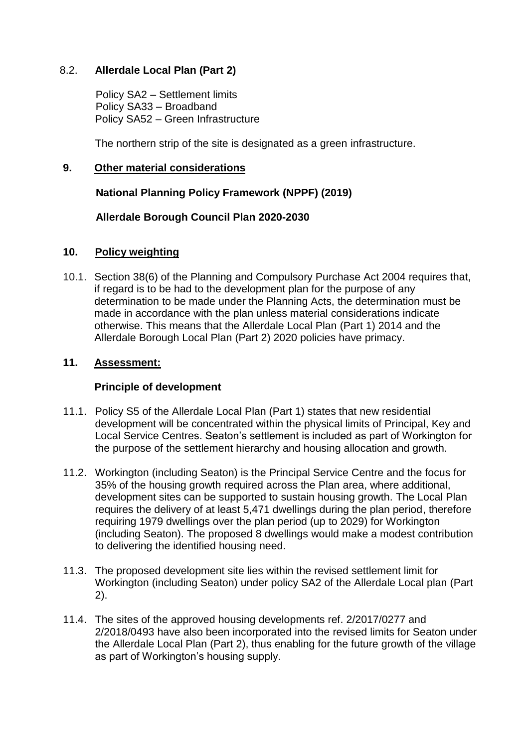### 8.2. **Allerdale Local Plan (Part 2)**

 Policy SA2 – Settlement limits Policy SA33 – Broadband Policy SA52 – Green Infrastructure

The northern strip of the site is designated as a green infrastructure.

### **9. Other material considerations**

 **National Planning Policy Framework (NPPF) (2019)**

### **Allerdale Borough Council Plan 2020-2030**

### **10. Policy weighting**

10.1. Section 38(6) of the Planning and Compulsory Purchase Act 2004 requires that, if regard is to be had to the development plan for the purpose of any determination to be made under the Planning Acts, the determination must be made in accordance with the plan unless material considerations indicate otherwise. This means that the Allerdale Local Plan (Part 1) 2014 and the Allerdale Borough Local Plan (Part 2) 2020 policies have primacy.

### **11. Assessment:**

#### **Principle of development**

- 11.1. Policy S5 of the Allerdale Local Plan (Part 1) states that new residential development will be concentrated within the physical limits of Principal, Key and Local Service Centres. Seaton's settlement is included as part of Workington for the purpose of the settlement hierarchy and housing allocation and growth.
- 11.2. Workington (including Seaton) is the Principal Service Centre and the focus for 35% of the housing growth required across the Plan area, where additional, development sites can be supported to sustain housing growth. The Local Plan requires the delivery of at least 5,471 dwellings during the plan period, therefore requiring 1979 dwellings over the plan period (up to 2029) for Workington (including Seaton). The proposed 8 dwellings would make a modest contribution to delivering the identified housing need.
- 11.3. The proposed development site lies within the revised settlement limit for Workington (including Seaton) under policy SA2 of the Allerdale Local plan (Part 2).
- 11.4. The sites of the approved housing developments ref. 2/2017/0277 and 2/2018/0493 have also been incorporated into the revised limits for Seaton under the Allerdale Local Plan (Part 2), thus enabling for the future growth of the village as part of Workington's housing supply.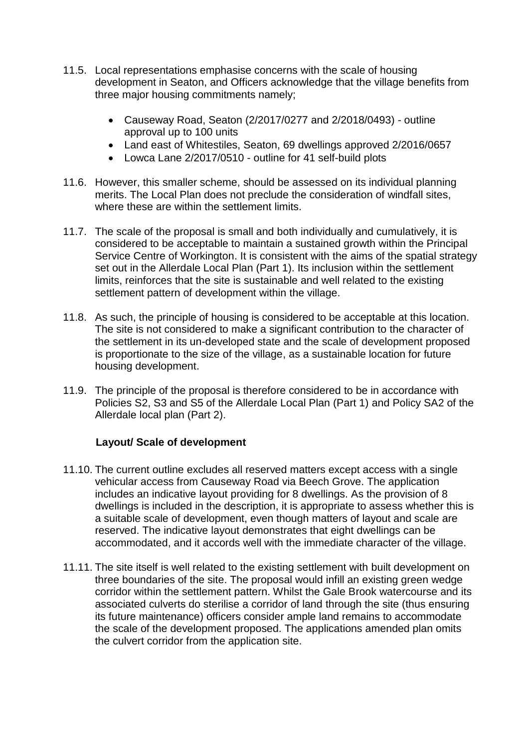- 11.5. Local representations emphasise concerns with the scale of housing development in Seaton, and Officers acknowledge that the village benefits from three major housing commitments namely;
	- Causeway Road, Seaton (2/2017/0277 and 2/2018/0493) outline approval up to 100 units
	- Land east of Whitestiles, Seaton, 69 dwellings approved 2/2016/0657
	- Lowca Lane 2/2017/0510 outline for 41 self-build plots
- 11.6. However, this smaller scheme, should be assessed on its individual planning merits. The Local Plan does not preclude the consideration of windfall sites, where these are within the settlement limits.
- 11.7. The scale of the proposal is small and both individually and cumulatively, it is considered to be acceptable to maintain a sustained growth within the Principal Service Centre of Workington. It is consistent with the aims of the spatial strategy set out in the Allerdale Local Plan (Part 1). Its inclusion within the settlement limits, reinforces that the site is sustainable and well related to the existing settlement pattern of development within the village.
- 11.8. As such, the principle of housing is considered to be acceptable at this location. The site is not considered to make a significant contribution to the character of the settlement in its un-developed state and the scale of development proposed is proportionate to the size of the village, as a sustainable location for future housing development.
- 11.9. The principle of the proposal is therefore considered to be in accordance with Policies S2, S3 and S5 of the Allerdale Local Plan (Part 1) and Policy SA2 of the Allerdale local plan (Part 2).

#### **Layout/ Scale of development**

- 11.10. The current outline excludes all reserved matters except access with a single vehicular access from Causeway Road via Beech Grove. The application includes an indicative layout providing for 8 dwellings. As the provision of 8 dwellings is included in the description, it is appropriate to assess whether this is a suitable scale of development, even though matters of layout and scale are reserved. The indicative layout demonstrates that eight dwellings can be accommodated, and it accords well with the immediate character of the village.
- 11.11. The site itself is well related to the existing settlement with built development on three boundaries of the site. The proposal would infill an existing green wedge corridor within the settlement pattern. Whilst the Gale Brook watercourse and its associated culverts do sterilise a corridor of land through the site (thus ensuring its future maintenance) officers consider ample land remains to accommodate the scale of the development proposed. The applications amended plan omits the culvert corridor from the application site.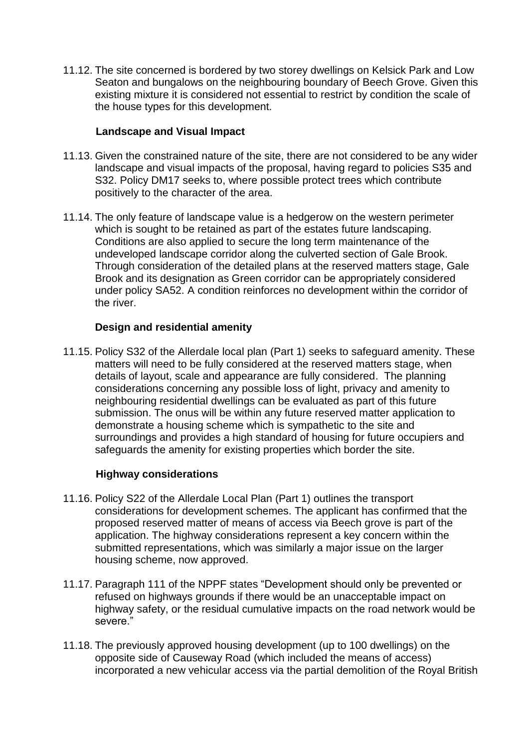11.12. The site concerned is bordered by two storey dwellings on Kelsick Park and Low Seaton and bungalows on the neighbouring boundary of Beech Grove. Given this existing mixture it is considered not essential to restrict by condition the scale of the house types for this development.

### **Landscape and Visual Impact**

- 11.13. Given the constrained nature of the site, there are not considered to be any wider landscape and visual impacts of the proposal, having regard to policies S35 and S32. Policy DM17 seeks to, where possible protect trees which contribute positively to the character of the area.
- 11.14. The only feature of landscape value is a hedgerow on the western perimeter which is sought to be retained as part of the estates future landscaping. Conditions are also applied to secure the long term maintenance of the undeveloped landscape corridor along the culverted section of Gale Brook. Through consideration of the detailed plans at the reserved matters stage, Gale Brook and its designation as Green corridor can be appropriately considered under policy SA52. A condition reinforces no development within the corridor of the river.

### **Design and residential amenity**

11.15. Policy S32 of the Allerdale local plan (Part 1) seeks to safeguard amenity. These matters will need to be fully considered at the reserved matters stage, when details of layout, scale and appearance are fully considered. The planning considerations concerning any possible loss of light, privacy and amenity to neighbouring residential dwellings can be evaluated as part of this future submission. The onus will be within any future reserved matter application to demonstrate a housing scheme which is sympathetic to the site and surroundings and provides a high standard of housing for future occupiers and safeguards the amenity for existing properties which border the site.

#### **Highway considerations**

- 11.16. Policy S22 of the Allerdale Local Plan (Part 1) outlines the transport considerations for development schemes. The applicant has confirmed that the proposed reserved matter of means of access via Beech grove is part of the application. The highway considerations represent a key concern within the submitted representations, which was similarly a major issue on the larger housing scheme, now approved.
- 11.17. Paragraph 111 of the NPPF states "Development should only be prevented or refused on highways grounds if there would be an unacceptable impact on highway safety, or the residual cumulative impacts on the road network would be severe."
- 11.18. The previously approved housing development (up to 100 dwellings) on the opposite side of Causeway Road (which included the means of access) incorporated a new vehicular access via the partial demolition of the Royal British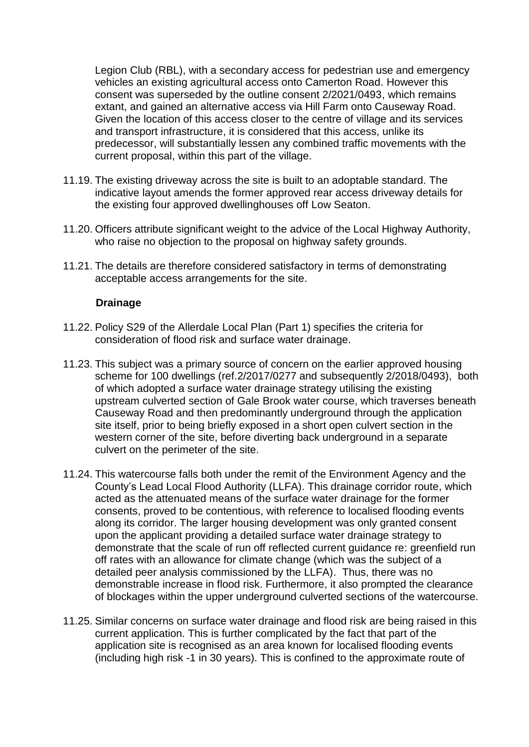Legion Club (RBL), with a secondary access for pedestrian use and emergency vehicles an existing agricultural access onto Camerton Road. However this consent was superseded by the outline consent 2/2021/0493, which remains extant, and gained an alternative access via Hill Farm onto Causeway Road. Given the location of this access closer to the centre of village and its services and transport infrastructure, it is considered that this access, unlike its predecessor, will substantially lessen any combined traffic movements with the current proposal, within this part of the village.

- 11.19. The existing driveway across the site is built to an adoptable standard. The indicative layout amends the former approved rear access driveway details for the existing four approved dwellinghouses off Low Seaton.
- 11.20. Officers attribute significant weight to the advice of the Local Highway Authority, who raise no objection to the proposal on highway safety grounds.
- 11.21. The details are therefore considered satisfactory in terms of demonstrating acceptable access arrangements for the site.

#### **Drainage**

- 11.22. Policy S29 of the Allerdale Local Plan (Part 1) specifies the criteria for consideration of flood risk and surface water drainage.
- 11.23. This subject was a primary source of concern on the earlier approved housing scheme for 100 dwellings (ref.2/2017/0277 and subsequently 2/2018/0493), both of which adopted a surface water drainage strategy utilising the existing upstream culverted section of Gale Brook water course, which traverses beneath Causeway Road and then predominantly underground through the application site itself, prior to being briefly exposed in a short open culvert section in the western corner of the site, before diverting back underground in a separate culvert on the perimeter of the site.
- 11.24. This watercourse falls both under the remit of the Environment Agency and the County's Lead Local Flood Authority (LLFA). This drainage corridor route, which acted as the attenuated means of the surface water drainage for the former consents, proved to be contentious, with reference to localised flooding events along its corridor. The larger housing development was only granted consent upon the applicant providing a detailed surface water drainage strategy to demonstrate that the scale of run off reflected current guidance re: greenfield run off rates with an allowance for climate change (which was the subject of a detailed peer analysis commissioned by the LLFA). Thus, there was no demonstrable increase in flood risk. Furthermore, it also prompted the clearance of blockages within the upper underground culverted sections of the watercourse.
- 11.25. Similar concerns on surface water drainage and flood risk are being raised in this current application. This is further complicated by the fact that part of the application site is recognised as an area known for localised flooding events (including high risk -1 in 30 years). This is confined to the approximate route of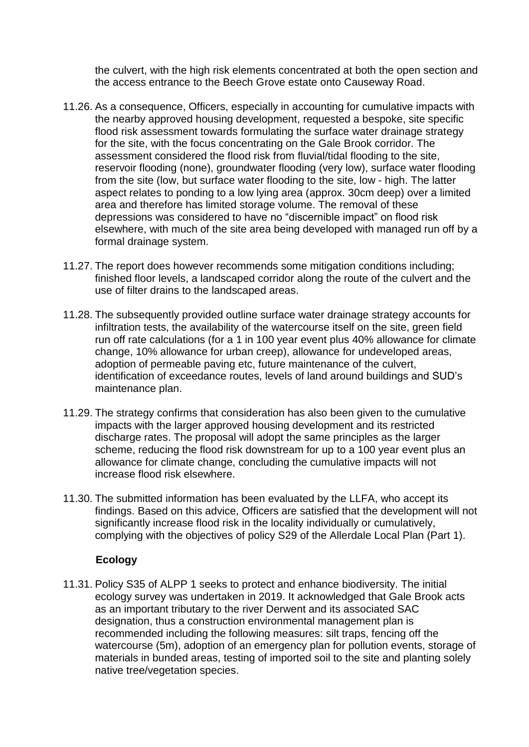the culvert, with the high risk elements concentrated at both the open section and the access entrance to the Beech Grove estate onto Causeway Road.

- 11.26. As a consequence, Officers, especially in accounting for cumulative impacts with the nearby approved housing development, requested a bespoke, site specific flood risk assessment towards formulating the surface water drainage strategy for the site, with the focus concentrating on the Gale Brook corridor. The assessment considered the flood risk from fluvial/tidal flooding to the site, reservoir flooding (none), groundwater flooding (very low), surface water flooding from the site (low, but surface water flooding to the site, low - high. The latter aspect relates to ponding to a low lying area (approx. 30cm deep) over a limited area and therefore has limited storage volume. The removal of these depressions was considered to have no "discernible impact" on flood risk elsewhere, with much of the site area being developed with managed run off by a formal drainage system.
- 11.27. The report does however recommends some mitigation conditions including; finished floor levels, a landscaped corridor along the route of the culvert and the use of filter drains to the landscaped areas.
- 11.28. The subsequently provided outline surface water drainage strategy accounts for infiltration tests, the availability of the watercourse itself on the site, green field run off rate calculations (for a 1 in 100 year event plus 40% allowance for climate change, 10% allowance for urban creep), allowance for undeveloped areas, adoption of permeable paving etc, future maintenance of the culvert, identification of exceedance routes, levels of land around buildings and SUD's maintenance plan.
- 11.29. The strategy confirms that consideration has also been given to the cumulative impacts with the larger approved housing development and its restricted discharge rates. The proposal will adopt the same principles as the larger scheme, reducing the flood risk downstream for up to a 100 year event plus an allowance for climate change, concluding the cumulative impacts will not increase flood risk elsewhere.
- 11.30. The submitted information has been evaluated by the LLFA, who accept its findings. Based on this advice, Officers are satisfied that the development will not significantly increase flood risk in the locality individually or cumulatively, complying with the objectives of policy S29 of the Allerdale Local Plan (Part 1).

## **Ecology**

11.31. Policy S35 of ALPP 1 seeks to protect and enhance biodiversity. The initial ecology survey was undertaken in 2019. It acknowledged that Gale Brook acts as an important tributary to the river Derwent and its associated SAC designation, thus a construction environmental management plan is recommended including the following measures: silt traps, fencing off the watercourse (5m), adoption of an emergency plan for pollution events, storage of materials in bunded areas, testing of imported soil to the site and planting solely native tree/vegetation species.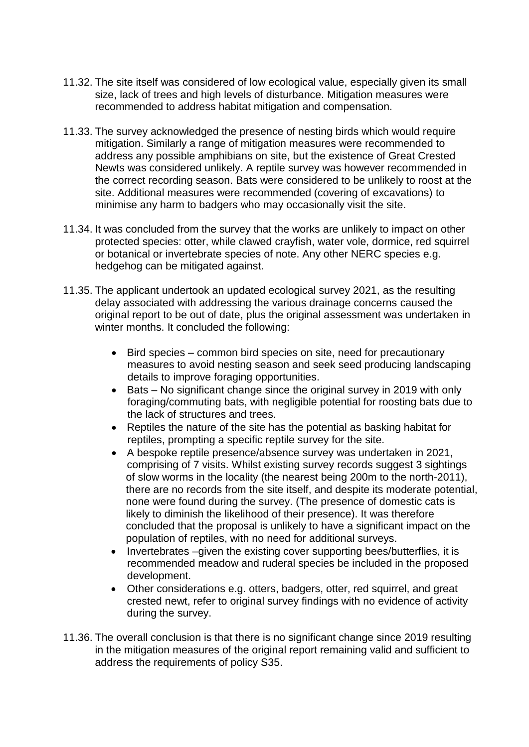- 11.32. The site itself was considered of low ecological value, especially given its small size, lack of trees and high levels of disturbance. Mitigation measures were recommended to address habitat mitigation and compensation.
- 11.33. The survey acknowledged the presence of nesting birds which would require mitigation. Similarly a range of mitigation measures were recommended to address any possible amphibians on site, but the existence of Great Crested Newts was considered unlikely. A reptile survey was however recommended in the correct recording season. Bats were considered to be unlikely to roost at the site. Additional measures were recommended (covering of excavations) to minimise any harm to badgers who may occasionally visit the site.
- 11.34. It was concluded from the survey that the works are unlikely to impact on other protected species: otter, while clawed crayfish, water vole, dormice, red squirrel or botanical or invertebrate species of note. Any other NERC species e.g. hedgehog can be mitigated against.
- 11.35. The applicant undertook an updated ecological survey 2021, as the resulting delay associated with addressing the various drainage concerns caused the original report to be out of date, plus the original assessment was undertaken in winter months. It concluded the following:
	- Bird species common bird species on site, need for precautionary measures to avoid nesting season and seek seed producing landscaping details to improve foraging opportunities.
	- Bats No significant change since the original survey in 2019 with only foraging/commuting bats, with negligible potential for roosting bats due to the lack of structures and trees.
	- Reptiles the nature of the site has the potential as basking habitat for reptiles, prompting a specific reptile survey for the site.
	- A bespoke reptile presence/absence survey was undertaken in 2021, comprising of 7 visits. Whilst existing survey records suggest 3 sightings of slow worms in the locality (the nearest being 200m to the north-2011), there are no records from the site itself, and despite its moderate potential, none were found during the survey. (The presence of domestic cats is likely to diminish the likelihood of their presence). It was therefore concluded that the proposal is unlikely to have a significant impact on the population of reptiles, with no need for additional surveys.
	- Invertebrates –given the existing cover supporting bees/butterflies, it is recommended meadow and ruderal species be included in the proposed development.
	- Other considerations e.g. otters, badgers, otter, red squirrel, and great crested newt, refer to original survey findings with no evidence of activity during the survey.
- 11.36. The overall conclusion is that there is no significant change since 2019 resulting in the mitigation measures of the original report remaining valid and sufficient to address the requirements of policy S35.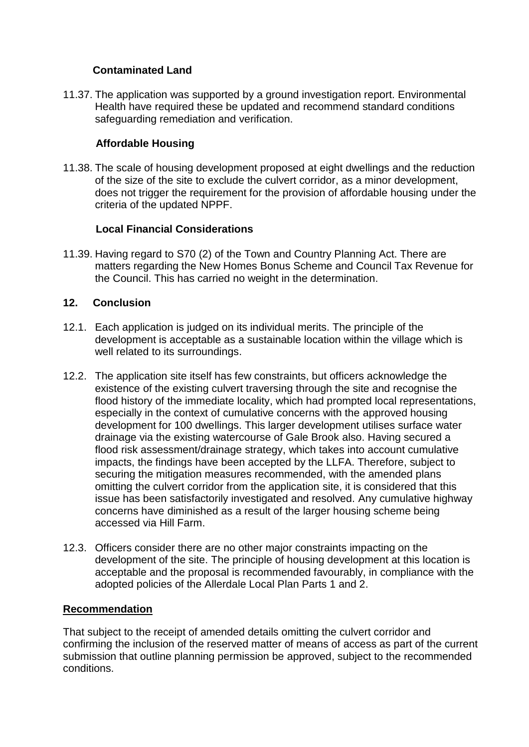## **Contaminated Land**

11.37. The application was supported by a ground investigation report. Environmental Health have required these be updated and recommend standard conditions safeguarding remediation and verification.

## **Affordable Housing**

11.38. The scale of housing development proposed at eight dwellings and the reduction of the size of the site to exclude the culvert corridor, as a minor development, does not trigger the requirement for the provision of affordable housing under the criteria of the updated NPPF.

## **Local Financial Considerations**

11.39. Having regard to S70 (2) of the Town and Country Planning Act. There are matters regarding the New Homes Bonus Scheme and Council Tax Revenue for the Council. This has carried no weight in the determination.

## **12. Conclusion**

- 12.1. Each application is judged on its individual merits. The principle of the development is acceptable as a sustainable location within the village which is well related to its surroundings.
- 12.2. The application site itself has few constraints, but officers acknowledge the existence of the existing culvert traversing through the site and recognise the flood history of the immediate locality, which had prompted local representations, especially in the context of cumulative concerns with the approved housing development for 100 dwellings. This larger development utilises surface water drainage via the existing watercourse of Gale Brook also. Having secured a flood risk assessment/drainage strategy, which takes into account cumulative impacts, the findings have been accepted by the LLFA. Therefore, subject to securing the mitigation measures recommended, with the amended plans omitting the culvert corridor from the application site, it is considered that this issue has been satisfactorily investigated and resolved. Any cumulative highway concerns have diminished as a result of the larger housing scheme being accessed via Hill Farm.
- 12.3. Officers consider there are no other major constraints impacting on the development of the site. The principle of housing development at this location is acceptable and the proposal is recommended favourably, in compliance with the adopted policies of the Allerdale Local Plan Parts 1 and 2.

## **Recommendation**

That subject to the receipt of amended details omitting the culvert corridor and confirming the inclusion of the reserved matter of means of access as part of the current submission that outline planning permission be approved, subject to the recommended conditions.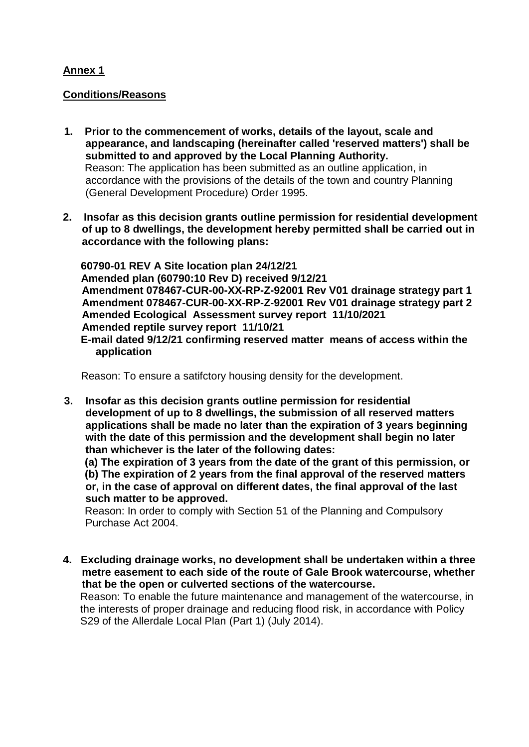## **Annex 1**

### **Conditions/Reasons**

- **1. Prior to the commencement of works, details of the layout, scale and appearance, and landscaping (hereinafter called 'reserved matters') shall be submitted to and approved by the Local Planning Authority.** Reason: The application has been submitted as an outline application, in accordance with the provisions of the details of the town and country Planning (General Development Procedure) Order 1995.
- **2. Insofar as this decision grants outline permission for residential development of up to 8 dwellings, the development hereby permitted shall be carried out in accordance with the following plans:**

 **60790-01 REV A Site location plan 24/12/21 Amended plan (60790:10 Rev D) received 9/12/21 Amendment 078467-CUR-00-XX-RP-Z-92001 Rev V01 drainage strategy part 1 Amendment 078467-CUR-00-XX-RP-Z-92001 Rev V01 drainage strategy part 2 Amended Ecological Assessment survey report 11/10/2021 Amended reptile survey report 11/10/21**

 **E-mail dated 9/12/21 confirming reserved matter means of access within the application**

Reason: To ensure a satifctory housing density for the development.

**3. Insofar as this decision grants outline permission for residential development of up to 8 dwellings, the submission of all reserved matters applications shall be made no later than the expiration of 3 years beginning with the date of this permission and the development shall begin no later than whichever is the later of the following dates:**

 **(a) The expiration of 3 years from the date of the grant of this permission, or (b) The expiration of 2 years from the final approval of the reserved matters or, in the case of approval on different dates, the final approval of the last such matter to be approved.**

 Reason: In order to comply with Section 51 of the Planning and Compulsory Purchase Act 2004.

**4. Excluding drainage works, no development shall be undertaken within a three metre easement to each side of the route of Gale Brook watercourse, whether that be the open or culverted sections of the watercourse.**

Reason: To enable the future maintenance and management of the watercourse, in the interests of proper drainage and reducing flood risk, in accordance with Policy S29 of the Allerdale Local Plan (Part 1) (July 2014).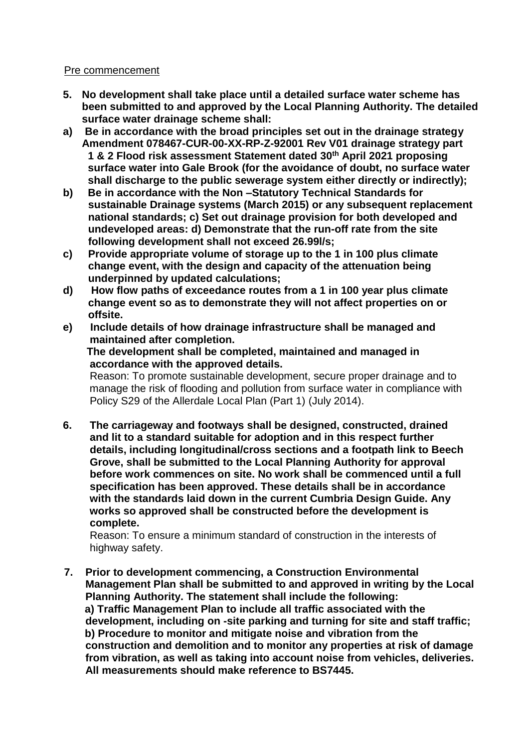#### Pre commencement

- **5. No development shall take place until a detailed surface water scheme has been submitted to and approved by the Local Planning Authority. The detailed surface water drainage scheme shall:**
- **a) Be in accordance with the broad principles set out in the drainage strategy Amendment 078467-CUR-00-XX-RP-Z-92001 Rev V01 drainage strategy part 1 & 2 Flood risk assessment Statement dated 30th April 2021 proposing surface water into Gale Brook (for the avoidance of doubt, no surface water shall discharge to the public sewerage system either directly or indirectly);**
- **b) Be in accordance with the Non –Statutory Technical Standards for sustainable Drainage systems (March 2015) or any subsequent replacement national standards; c) Set out drainage provision for both developed and undeveloped areas: d) Demonstrate that the run-off rate from the site following development shall not exceed 26.99l/s;**
- **c) Provide appropriate volume of storage up to the 1 in 100 plus climate change event, with the design and capacity of the attenuation being underpinned by updated calculations;**
- **d) How flow paths of exceedance routes from a 1 in 100 year plus climate change event so as to demonstrate they will not affect properties on or offsite.**
- **e) Include details of how drainage infrastructure shall be managed and maintained after completion.**

 **The development shall be completed, maintained and managed in accordance with the approved details.**

 Reason: To promote sustainable development, secure proper drainage and to manage the risk of flooding and pollution from surface water in compliance with Policy S29 of the Allerdale Local Plan (Part 1) (July 2014).

**6. The carriageway and footways shall be designed, constructed, drained and lit to a standard suitable for adoption and in this respect further details, including longitudinal/cross sections and a footpath link to Beech Grove, shall be submitted to the Local Planning Authority for approval before work commences on site. No work shall be commenced until a full specification has been approved. These details shall be in accordance with the standards laid down in the current Cumbria Design Guide. Any works so approved shall be constructed before the development is complete.** 

 Reason: To ensure a minimum standard of construction in the interests of highway safety.

**7. Prior to development commencing, a Construction Environmental Management Plan shall be submitted to and approved in writing by the Local Planning Authority. The statement shall include the following: a) Traffic Management Plan to include all traffic associated with the development, including on -site parking and turning for site and staff traffic; b) Procedure to monitor and mitigate noise and vibration from the construction and demolition and to monitor any properties at risk of damage from vibration, as well as taking into account noise from vehicles, deliveries. All measurements should make reference to BS7445.**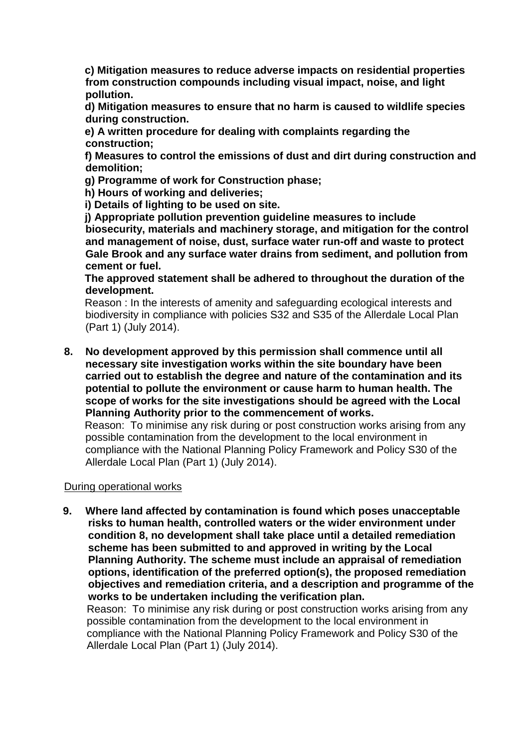**c) Mitigation measures to reduce adverse impacts on residential properties from construction compounds including visual impact, noise, and light pollution.** 

 **d) Mitigation measures to ensure that no harm is caused to wildlife species during construction.** 

 **e) A written procedure for dealing with complaints regarding the construction;** 

 **f) Measures to control the emissions of dust and dirt during construction and demolition;** 

 **g) Programme of work for Construction phase;** 

 **h) Hours of working and deliveries;** 

 **i) Details of lighting to be used on site.** 

 **j) Appropriate pollution prevention guideline measures to include biosecurity, materials and machinery storage, and mitigation for the control and management of noise, dust, surface water run-off and waste to protect Gale Brook and any surface water drains from sediment, and pollution from cement or fuel.**

 **The approved statement shall be adhered to throughout the duration of the development.**

 Reason : In the interests of amenity and safeguarding ecological interests and biodiversity in compliance with policies S32 and S35 of the Allerdale Local Plan (Part 1) (July 2014).

**8. No development approved by this permission shall commence until all necessary site investigation works within the site boundary have been carried out to establish the degree and nature of the contamination and its potential to pollute the environment or cause harm to human health. The scope of works for the site investigations should be agreed with the Local Planning Authority prior to the commencement of works.**

 Reason: To minimise any risk during or post construction works arising from any possible contamination from the development to the local environment in compliance with the National Planning Policy Framework and Policy S30 of the Allerdale Local Plan (Part 1) (July 2014).

#### During operational works

**9. Where land affected by contamination is found which poses unacceptable risks to human health, controlled waters or the wider environment under condition 8, no development shall take place until a detailed remediation scheme has been submitted to and approved in writing by the Local Planning Authority. The scheme must include an appraisal of remediation options, identification of the preferred option(s), the proposed remediation objectives and remediation criteria, and a description and programme of the works to be undertaken including the verification plan.**

 Reason: To minimise any risk during or post construction works arising from any possible contamination from the development to the local environment in compliance with the National Planning Policy Framework and Policy S30 of the Allerdale Local Plan (Part 1) (July 2014).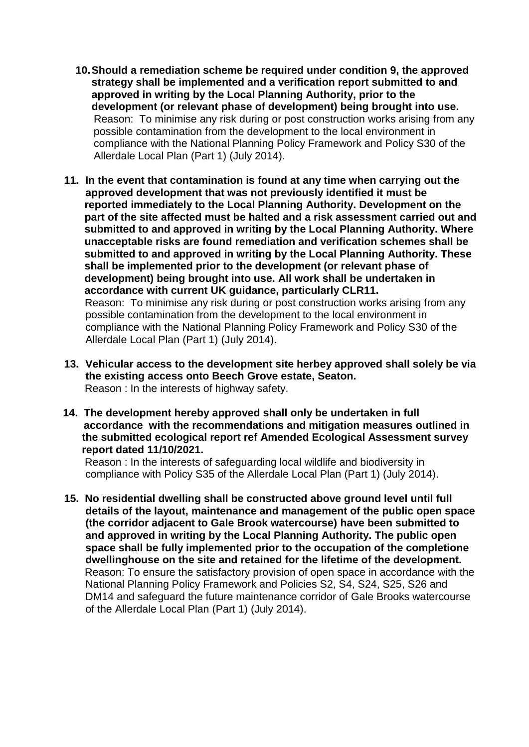- **10.Should a remediation scheme be required under condition 9, the approved strategy shall be implemented and a verification report submitted to and approved in writing by the Local Planning Authority, prior to the development (or relevant phase of development) being brought into use.** Reason: To minimise any risk during or post construction works arising from any possible contamination from the development to the local environment in compliance with the National Planning Policy Framework and Policy S30 of the Allerdale Local Plan (Part 1) (July 2014).
- **11. In the event that contamination is found at any time when carrying out the approved development that was not previously identified it must be reported immediately to the Local Planning Authority. Development on the part of the site affected must be halted and a risk assessment carried out and submitted to and approved in writing by the Local Planning Authority. Where unacceptable risks are found remediation and verification schemes shall be submitted to and approved in writing by the Local Planning Authority. These shall be implemented prior to the development (or relevant phase of development) being brought into use. All work shall be undertaken in accordance with current UK guidance, particularly CLR11.** Reason: To minimise any risk during or post construction works arising from any possible contamination from the development to the local environment in compliance with the National Planning Policy Framework and Policy S30 of the Allerdale Local Plan (Part 1) (July 2014).
- **13. Vehicular access to the development site herbey approved shall solely be via the existing access onto Beech Grove estate, Seaton.** Reason : In the interests of highway safety.
- **14. The development hereby approved shall only be undertaken in full accordance with the recommendations and mitigation measures outlined in the submitted ecological report ref Amended Ecological Assessment survey report dated 11/10/2021.**

Reason : In the interests of safeguarding local wildlife and biodiversity in compliance with Policy S35 of the Allerdale Local Plan (Part 1) (July 2014).

**15. No residential dwelling shall be constructed above ground level until full details of the layout, maintenance and management of the public open space (the corridor adjacent to Gale Brook watercourse) have been submitted to and approved in writing by the Local Planning Authority. The public open space shall be fully implemented prior to the occupation of the completione dwellinghouse on the site and retained for the lifetime of the development.** Reason: To ensure the satisfactory provision of open space in accordance with the National Planning Policy Framework and Policies S2, S4, S24, S25, S26 and DM14 and safeguard the future maintenance corridor of Gale Brooks watercourse of the Allerdale Local Plan (Part 1) (July 2014).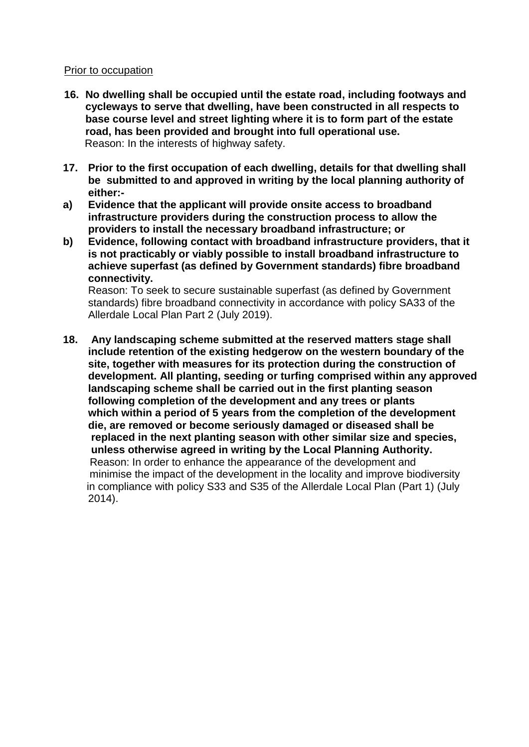#### Prior to occupation

- **16. No dwelling shall be occupied until the estate road, including footways and cycleways to serve that dwelling, have been constructed in all respects to base course level and street lighting where it is to form part of the estate road, has been provided and brought into full operational use.** Reason: In the interests of highway safety.
- **17. Prior to the first occupation of each dwelling, details for that dwelling shall be submitted to and approved in writing by the local planning authority of either:-**
- **a) Evidence that the applicant will provide onsite access to broadband infrastructure providers during the construction process to allow the providers to install the necessary broadband infrastructure; or**
- **b) Evidence, following contact with broadband infrastructure providers, that it is not practicably or viably possible to install broadband infrastructure to achieve superfast (as defined by Government standards) fibre broadband connectivity.**

Reason: To seek to secure sustainable superfast (as defined by Government standards) fibre broadband connectivity in accordance with policy SA33 of the Allerdale Local Plan Part 2 (July 2019).

**18. Any landscaping scheme submitted at the reserved matters stage shall include retention of the existing hedgerow on the western boundary of the site, together with measures for its protection during the construction of development. All planting, seeding or turfing comprised within any approved landscaping scheme shall be carried out in the first planting season following completion of the development and any trees or plants which within a period of 5 years from the completion of the development die, are removed or become seriously damaged or diseased shall be replaced in the next planting season with other similar size and species, unless otherwise agreed in writing by the Local Planning Authority.** Reason: In order to enhance the appearance of the development and minimise the impact of the development in the locality and improve biodiversity in compliance with policy S33 and S35 of the Allerdale Local Plan (Part 1) (July 2014).